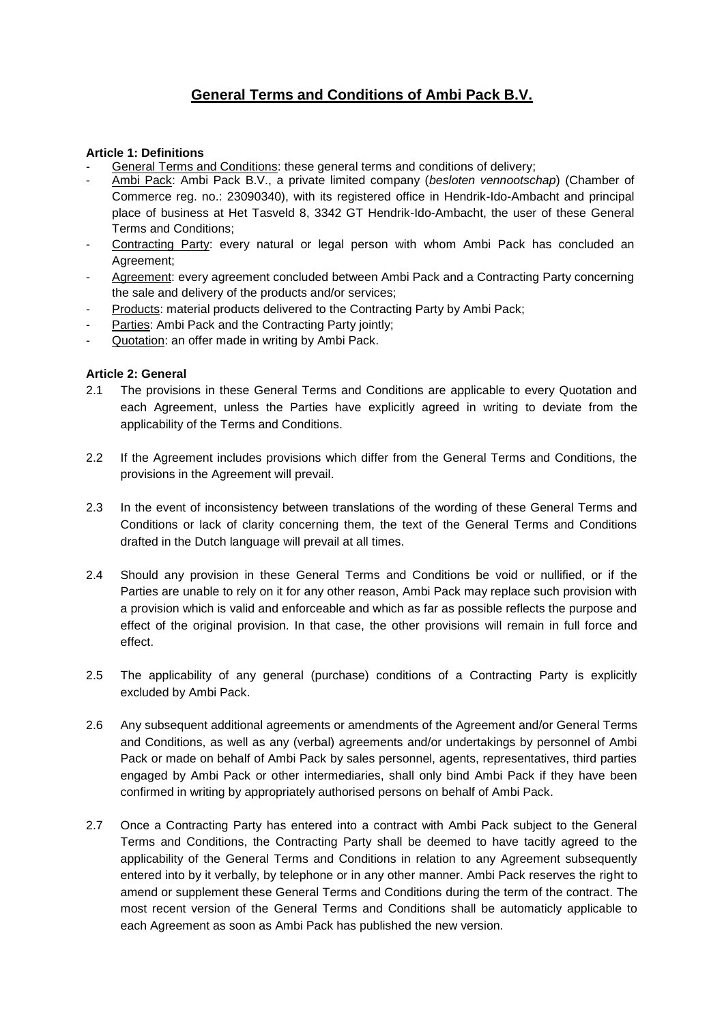# **General Terms and Conditions of Ambi Pack B.V.**

#### **Article 1: Definitions**

- General Terms and Conditions: these general terms and conditions of delivery;
- Ambi Pack: Ambi Pack B.V., a private limited company (*besloten vennootschap*) (Chamber of Commerce reg. no.: 23090340), with its registered office in Hendrik-Ido-Ambacht and principal place of business at Het Tasveld 8, 3342 GT Hendrik-Ido-Ambacht, the user of these General Terms and Conditions;
- Contracting Party: every natural or legal person with whom Ambi Pack has concluded an Agreement;
- Agreement: every agreement concluded between Ambi Pack and a Contracting Party concerning the sale and delivery of the products and/or services;
- Products: material products delivered to the Contracting Party by Ambi Pack;
- Parties: Ambi Pack and the Contracting Party jointly;
- Quotation: an offer made in writing by Ambi Pack.

#### **Article 2: General**

- 2.1 The provisions in these General Terms and Conditions are applicable to every Quotation and each Agreement, unless the Parties have explicitly agreed in writing to deviate from the applicability of the Terms and Conditions.
- 2.2 If the Agreement includes provisions which differ from the General Terms and Conditions, the provisions in the Agreement will prevail.
- 2.3 In the event of inconsistency between translations of the wording of these General Terms and Conditions or lack of clarity concerning them, the text of the General Terms and Conditions drafted in the Dutch language will prevail at all times.
- 2.4 Should any provision in these General Terms and Conditions be void or nullified, or if the Parties are unable to rely on it for any other reason, Ambi Pack may replace such provision with a provision which is valid and enforceable and which as far as possible reflects the purpose and effect of the original provision. In that case, the other provisions will remain in full force and effect.
- 2.5 The applicability of any general (purchase) conditions of a Contracting Party is explicitly excluded by Ambi Pack.
- 2.6 Any subsequent additional agreements or amendments of the Agreement and/or General Terms and Conditions, as well as any (verbal) agreements and/or undertakings by personnel of Ambi Pack or made on behalf of Ambi Pack by sales personnel, agents, representatives, third parties engaged by Ambi Pack or other intermediaries, shall only bind Ambi Pack if they have been confirmed in writing by appropriately authorised persons on behalf of Ambi Pack.
- 2.7 Once a Contracting Party has entered into a contract with Ambi Pack subject to the General Terms and Conditions, the Contracting Party shall be deemed to have tacitly agreed to the applicability of the General Terms and Conditions in relation to any Agreement subsequently entered into by it verbally, by telephone or in any other manner. Ambi Pack reserves the right to amend or supplement these General Terms and Conditions during the term of the contract. The most recent version of the General Terms and Conditions shall be automaticly applicable to each Agreement as soon as Ambi Pack has published the new version.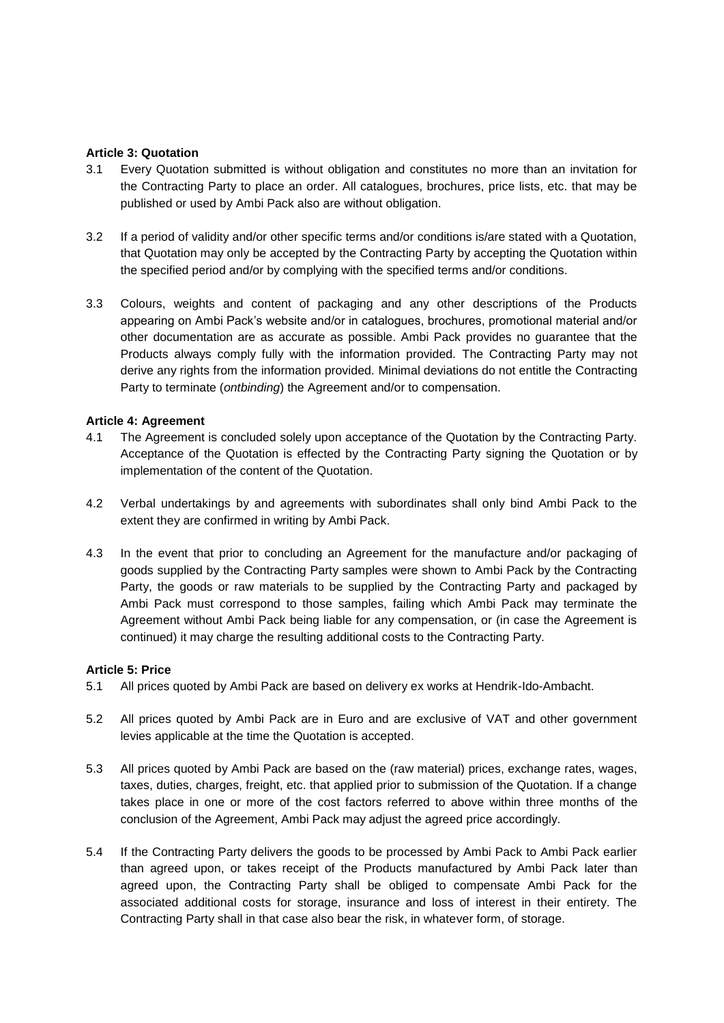#### **Article 3: Quotation**

- 3.1 Every Quotation submitted is without obligation and constitutes no more than an invitation for the Contracting Party to place an order. All catalogues, brochures, price lists, etc. that may be published or used by Ambi Pack also are without obligation.
- 3.2 If a period of validity and/or other specific terms and/or conditions is/are stated with a Quotation, that Quotation may only be accepted by the Contracting Party by accepting the Quotation within the specified period and/or by complying with the specified terms and/or conditions.
- 3.3 Colours, weights and content of packaging and any other descriptions of the Products appearing on Ambi Pack's website and/or in catalogues, brochures, promotional material and/or other documentation are as accurate as possible. Ambi Pack provides no guarantee that the Products always comply fully with the information provided. The Contracting Party may not derive any rights from the information provided. Minimal deviations do not entitle the Contracting Party to terminate (*ontbinding*) the Agreement and/or to compensation.

#### **Article 4: Agreement**

- 4.1 The Agreement is concluded solely upon acceptance of the Quotation by the Contracting Party. Acceptance of the Quotation is effected by the Contracting Party signing the Quotation or by implementation of the content of the Quotation.
- 4.2 Verbal undertakings by and agreements with subordinates shall only bind Ambi Pack to the extent they are confirmed in writing by Ambi Pack.
- 4.3 In the event that prior to concluding an Agreement for the manufacture and/or packaging of goods supplied by the Contracting Party samples were shown to Ambi Pack by the Contracting Party, the goods or raw materials to be supplied by the Contracting Party and packaged by Ambi Pack must correspond to those samples, failing which Ambi Pack may terminate the Agreement without Ambi Pack being liable for any compensation, or (in case the Agreement is continued) it may charge the resulting additional costs to the Contracting Party.

## **Article 5: Price**

- 5.1 All prices quoted by Ambi Pack are based on delivery ex works at Hendrik-Ido-Ambacht.
- 5.2 All prices quoted by Ambi Pack are in Euro and are exclusive of VAT and other government levies applicable at the time the Quotation is accepted.
- 5.3 All prices quoted by Ambi Pack are based on the (raw material) prices, exchange rates, wages, taxes, duties, charges, freight, etc. that applied prior to submission of the Quotation. If a change takes place in one or more of the cost factors referred to above within three months of the conclusion of the Agreement, Ambi Pack may adjust the agreed price accordingly.
- 5.4 If the Contracting Party delivers the goods to be processed by Ambi Pack to Ambi Pack earlier than agreed upon, or takes receipt of the Products manufactured by Ambi Pack later than agreed upon, the Contracting Party shall be obliged to compensate Ambi Pack for the associated additional costs for storage, insurance and loss of interest in their entirety. The Contracting Party shall in that case also bear the risk, in whatever form, of storage.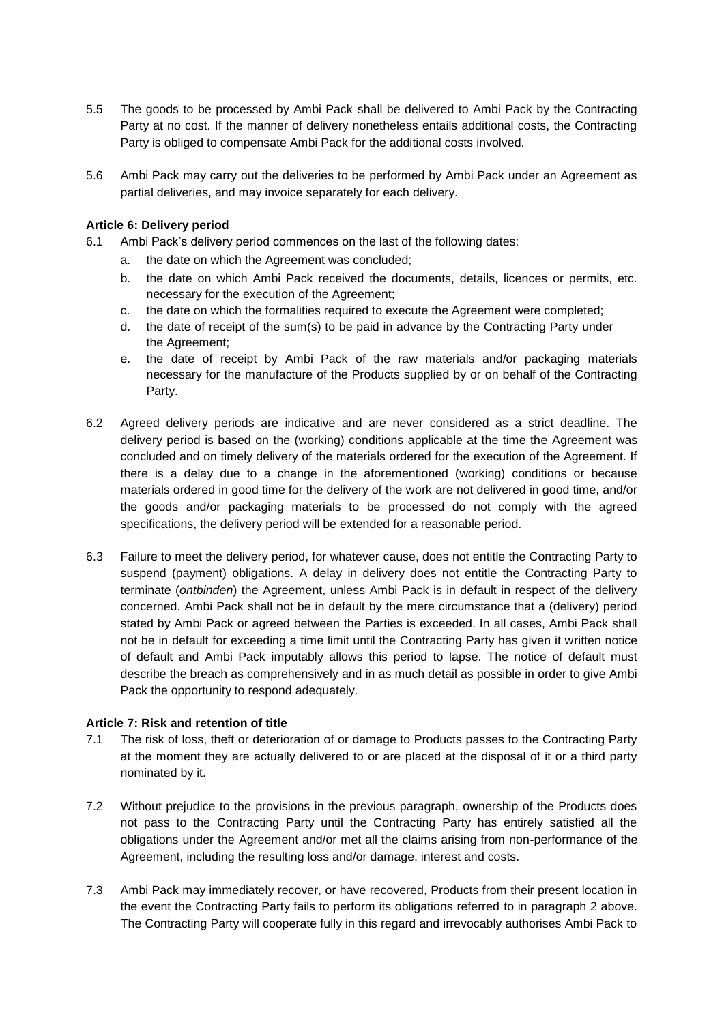- 5.5 The goods to be processed by Ambi Pack shall be delivered to Ambi Pack by the Contracting Party at no cost. If the manner of delivery nonetheless entails additional costs, the Contracting Party is obliged to compensate Ambi Pack for the additional costs involved.
- 5.6 Ambi Pack may carry out the deliveries to be performed by Ambi Pack under an Agreement as partial deliveries, and may invoice separately for each delivery.

## **Article 6: Delivery period**

- 6.1 Ambi Pack's delivery period commences on the last of the following dates:
	- a. the date on which the Agreement was concluded;
	- b. the date on which Ambi Pack received the documents, details, licences or permits, etc. necessary for the execution of the Agreement;
	- c. the date on which the formalities required to execute the Agreement were completed;
	- d. the date of receipt of the sum(s) to be paid in advance by the Contracting Party under the Agreement;
	- e. the date of receipt by Ambi Pack of the raw materials and/or packaging materials necessary for the manufacture of the Products supplied by or on behalf of the Contracting Party.
- 6.2 Agreed delivery periods are indicative and are never considered as a strict deadline. The delivery period is based on the (working) conditions applicable at the time the Agreement was concluded and on timely delivery of the materials ordered for the execution of the Agreement. If there is a delay due to a change in the aforementioned (working) conditions or because materials ordered in good time for the delivery of the work are not delivered in good time, and/or the goods and/or packaging materials to be processed do not comply with the agreed specifications, the delivery period will be extended for a reasonable period.
- 6.3 Failure to meet the delivery period, for whatever cause, does not entitle the Contracting Party to suspend (payment) obligations. A delay in delivery does not entitle the Contracting Party to terminate (*ontbinden*) the Agreement, unless Ambi Pack is in default in respect of the delivery concerned. Ambi Pack shall not be in default by the mere circumstance that a (delivery) period stated by Ambi Pack or agreed between the Parties is exceeded. In all cases, Ambi Pack shall not be in default for exceeding a time limit until the Contracting Party has given it written notice of default and Ambi Pack imputably allows this period to lapse. The notice of default must describe the breach as comprehensively and in as much detail as possible in order to give Ambi Pack the opportunity to respond adequately.

## **Article 7: Risk and retention of title**

- 7.1 The risk of loss, theft or deterioration of or damage to Products passes to the Contracting Party at the moment they are actually delivered to or are placed at the disposal of it or a third party nominated by it.
- 7.2 Without prejudice to the provisions in the previous paragraph, ownership of the Products does not pass to the Contracting Party until the Contracting Party has entirely satisfied all the obligations under the Agreement and/or met all the claims arising from non-performance of the Agreement, including the resulting loss and/or damage, interest and costs.
- 7.3 Ambi Pack may immediately recover, or have recovered, Products from their present location in the event the Contracting Party fails to perform its obligations referred to in paragraph 2 above. The Contracting Party will cooperate fully in this regard and irrevocably authorises Ambi Pack to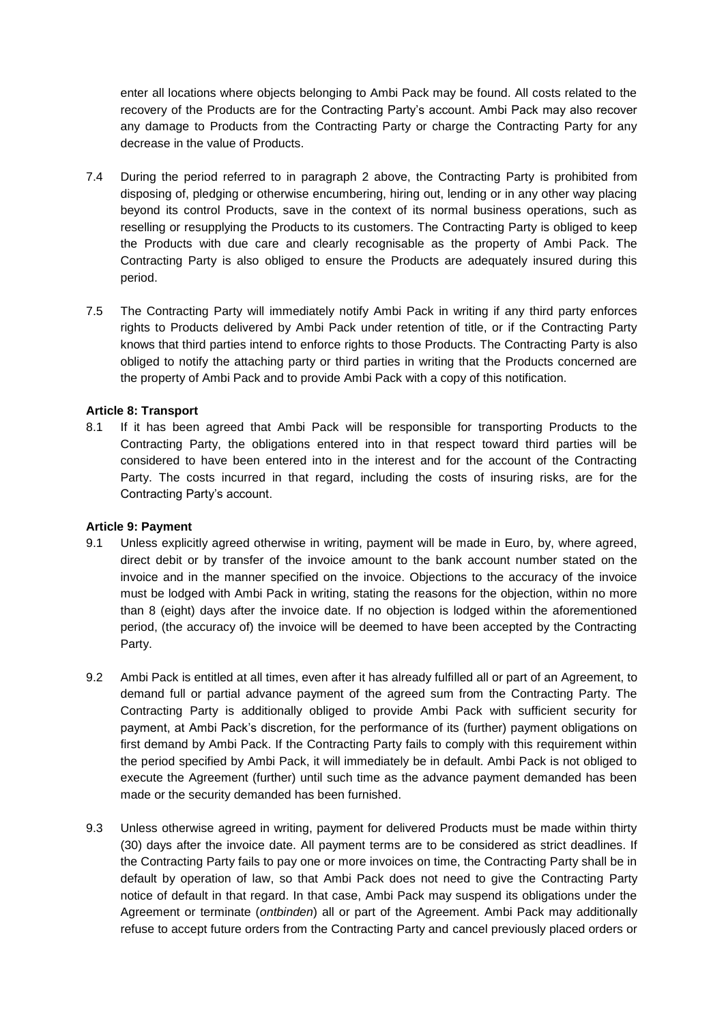enter all locations where objects belonging to Ambi Pack may be found. All costs related to the recovery of the Products are for the Contracting Party's account. Ambi Pack may also recover any damage to Products from the Contracting Party or charge the Contracting Party for any decrease in the value of Products.

- 7.4 During the period referred to in paragraph 2 above, the Contracting Party is prohibited from disposing of, pledging or otherwise encumbering, hiring out, lending or in any other way placing beyond its control Products, save in the context of its normal business operations, such as reselling or resupplying the Products to its customers. The Contracting Party is obliged to keep the Products with due care and clearly recognisable as the property of Ambi Pack. The Contracting Party is also obliged to ensure the Products are adequately insured during this period.
- 7.5 The Contracting Party will immediately notify Ambi Pack in writing if any third party enforces rights to Products delivered by Ambi Pack under retention of title, or if the Contracting Party knows that third parties intend to enforce rights to those Products. The Contracting Party is also obliged to notify the attaching party or third parties in writing that the Products concerned are the property of Ambi Pack and to provide Ambi Pack with a copy of this notification.

## **Article 8: Transport**

8.1 If it has been agreed that Ambi Pack will be responsible for transporting Products to the Contracting Party, the obligations entered into in that respect toward third parties will be considered to have been entered into in the interest and for the account of the Contracting Party. The costs incurred in that regard, including the costs of insuring risks, are for the Contracting Party's account.

## **Article 9: Payment**

- 9.1 Unless explicitly agreed otherwise in writing, payment will be made in Euro, by, where agreed, direct debit or by transfer of the invoice amount to the bank account number stated on the invoice and in the manner specified on the invoice. Objections to the accuracy of the invoice must be lodged with Ambi Pack in writing, stating the reasons for the objection, within no more than 8 (eight) days after the invoice date. If no objection is lodged within the aforementioned period, (the accuracy of) the invoice will be deemed to have been accepted by the Contracting Party.
- 9.2 Ambi Pack is entitled at all times, even after it has already fulfilled all or part of an Agreement, to demand full or partial advance payment of the agreed sum from the Contracting Party. The Contracting Party is additionally obliged to provide Ambi Pack with sufficient security for payment, at Ambi Pack's discretion, for the performance of its (further) payment obligations on first demand by Ambi Pack. If the Contracting Party fails to comply with this requirement within the period specified by Ambi Pack, it will immediately be in default. Ambi Pack is not obliged to execute the Agreement (further) until such time as the advance payment demanded has been made or the security demanded has been furnished.
- 9.3 Unless otherwise agreed in writing, payment for delivered Products must be made within thirty (30) days after the invoice date. All payment terms are to be considered as strict deadlines. If the Contracting Party fails to pay one or more invoices on time, the Contracting Party shall be in default by operation of law, so that Ambi Pack does not need to give the Contracting Party notice of default in that regard. In that case, Ambi Pack may suspend its obligations under the Agreement or terminate (*ontbinden*) all or part of the Agreement. Ambi Pack may additionally refuse to accept future orders from the Contracting Party and cancel previously placed orders or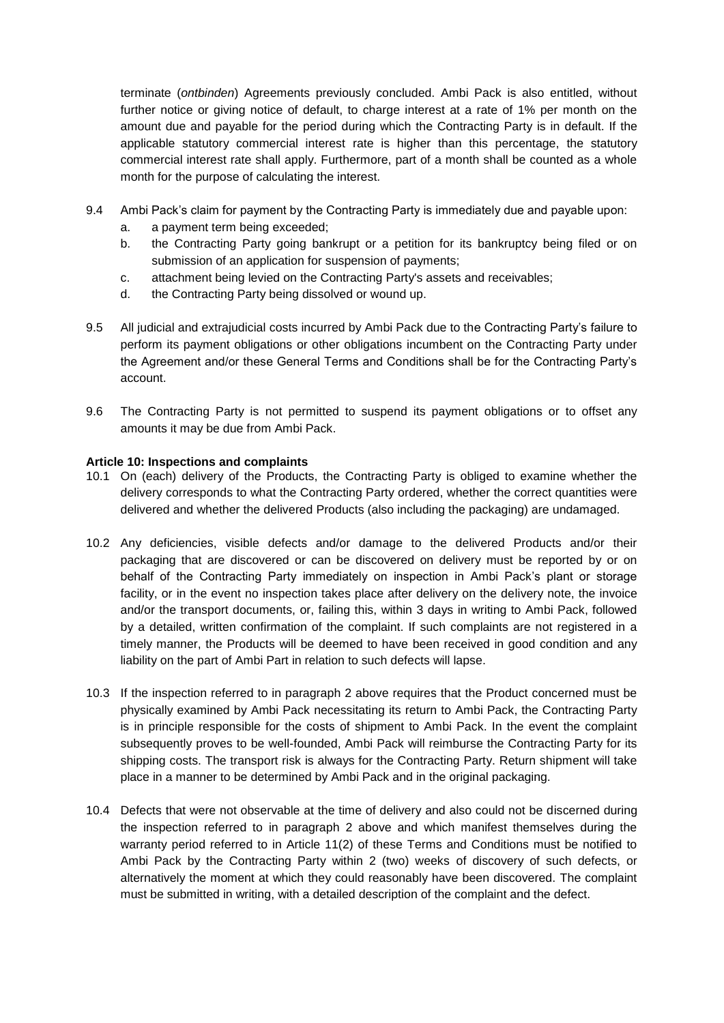terminate (*ontbinden*) Agreements previously concluded. Ambi Pack is also entitled, without further notice or giving notice of default, to charge interest at a rate of 1% per month on the amount due and payable for the period during which the Contracting Party is in default. If the applicable statutory commercial interest rate is higher than this percentage, the statutory commercial interest rate shall apply. Furthermore, part of a month shall be counted as a whole month for the purpose of calculating the interest.

- 9.4 Ambi Pack's claim for payment by the Contracting Party is immediately due and payable upon:
	- a. a payment term being exceeded;
	- b. the Contracting Party going bankrupt or a petition for its bankruptcy being filed or on submission of an application for suspension of payments;
	- c. attachment being levied on the Contracting Party's assets and receivables;
	- d. the Contracting Party being dissolved or wound up.
- 9.5 All judicial and extrajudicial costs incurred by Ambi Pack due to the Contracting Party's failure to perform its payment obligations or other obligations incumbent on the Contracting Party under the Agreement and/or these General Terms and Conditions shall be for the Contracting Party's account.
- 9.6 The Contracting Party is not permitted to suspend its payment obligations or to offset any amounts it may be due from Ambi Pack.

## **Article 10: Inspections and complaints**

- 10.1 On (each) delivery of the Products, the Contracting Party is obliged to examine whether the delivery corresponds to what the Contracting Party ordered, whether the correct quantities were delivered and whether the delivered Products (also including the packaging) are undamaged.
- 10.2 Any deficiencies, visible defects and/or damage to the delivered Products and/or their packaging that are discovered or can be discovered on delivery must be reported by or on behalf of the Contracting Party immediately on inspection in Ambi Pack's plant or storage facility, or in the event no inspection takes place after delivery on the delivery note, the invoice and/or the transport documents, or, failing this, within 3 days in writing to Ambi Pack, followed by a detailed, written confirmation of the complaint. If such complaints are not registered in a timely manner, the Products will be deemed to have been received in good condition and any liability on the part of Ambi Part in relation to such defects will lapse.
- 10.3 If the inspection referred to in paragraph 2 above requires that the Product concerned must be physically examined by Ambi Pack necessitating its return to Ambi Pack, the Contracting Party is in principle responsible for the costs of shipment to Ambi Pack. In the event the complaint subsequently proves to be well-founded, Ambi Pack will reimburse the Contracting Party for its shipping costs. The transport risk is always for the Contracting Party. Return shipment will take place in a manner to be determined by Ambi Pack and in the original packaging.
- 10.4 Defects that were not observable at the time of delivery and also could not be discerned during the inspection referred to in paragraph 2 above and which manifest themselves during the warranty period referred to in Article 11(2) of these Terms and Conditions must be notified to Ambi Pack by the Contracting Party within 2 (two) weeks of discovery of such defects, or alternatively the moment at which they could reasonably have been discovered. The complaint must be submitted in writing, with a detailed description of the complaint and the defect.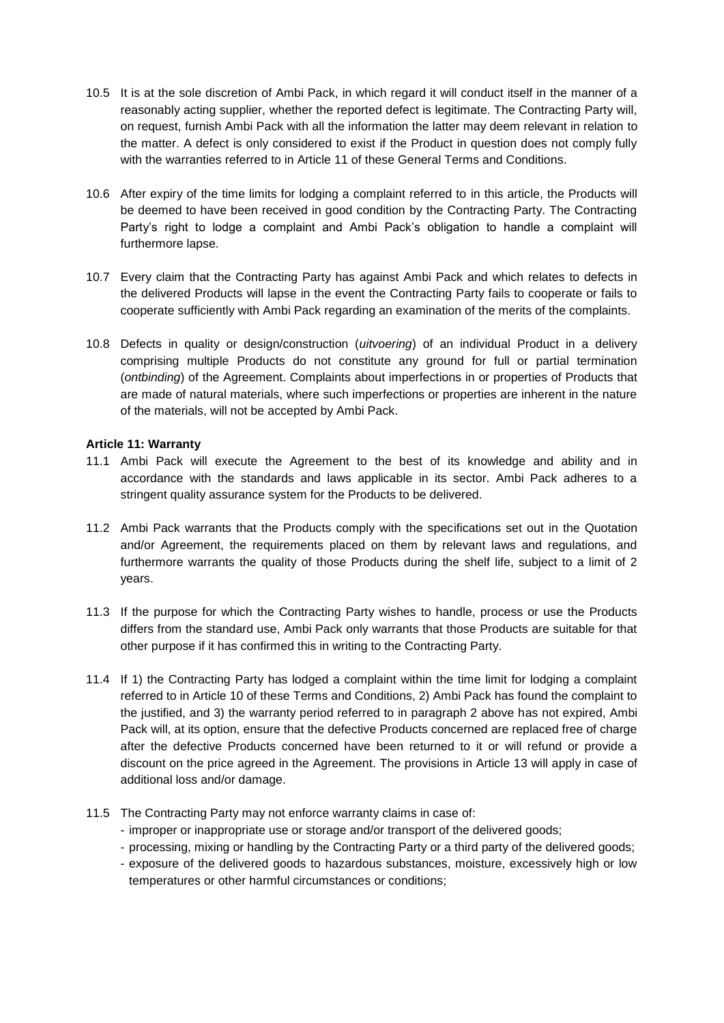- 10.5 It is at the sole discretion of Ambi Pack, in which regard it will conduct itself in the manner of a reasonably acting supplier, whether the reported defect is legitimate. The Contracting Party will, on request, furnish Ambi Pack with all the information the latter may deem relevant in relation to the matter. A defect is only considered to exist if the Product in question does not comply fully with the warranties referred to in Article 11 of these General Terms and Conditions.
- 10.6 After expiry of the time limits for lodging a complaint referred to in this article, the Products will be deemed to have been received in good condition by the Contracting Party. The Contracting Party's right to lodge a complaint and Ambi Pack's obligation to handle a complaint will furthermore lapse.
- 10.7 Every claim that the Contracting Party has against Ambi Pack and which relates to defects in the delivered Products will lapse in the event the Contracting Party fails to cooperate or fails to cooperate sufficiently with Ambi Pack regarding an examination of the merits of the complaints.
- 10.8 Defects in quality or design/construction (*uitvoering*) of an individual Product in a delivery comprising multiple Products do not constitute any ground for full or partial termination (*ontbinding*) of the Agreement. Complaints about imperfections in or properties of Products that are made of natural materials, where such imperfections or properties are inherent in the nature of the materials, will not be accepted by Ambi Pack.

# **Article 11: Warranty**

- 11.1 Ambi Pack will execute the Agreement to the best of its knowledge and ability and in accordance with the standards and laws applicable in its sector. Ambi Pack adheres to a stringent quality assurance system for the Products to be delivered.
- 11.2 Ambi Pack warrants that the Products comply with the specifications set out in the Quotation and/or Agreement, the requirements placed on them by relevant laws and regulations, and furthermore warrants the quality of those Products during the shelf life, subject to a limit of 2 years.
- 11.3 If the purpose for which the Contracting Party wishes to handle, process or use the Products differs from the standard use, Ambi Pack only warrants that those Products are suitable for that other purpose if it has confirmed this in writing to the Contracting Party.
- 11.4 If 1) the Contracting Party has lodged a complaint within the time limit for lodging a complaint referred to in Article 10 of these Terms and Conditions, 2) Ambi Pack has found the complaint to the justified, and 3) the warranty period referred to in paragraph 2 above has not expired, Ambi Pack will, at its option, ensure that the defective Products concerned are replaced free of charge after the defective Products concerned have been returned to it or will refund or provide a discount on the price agreed in the Agreement. The provisions in Article 13 will apply in case of additional loss and/or damage.
- 11.5 The Contracting Party may not enforce warranty claims in case of:
	- improper or inappropriate use or storage and/or transport of the delivered goods;
	- processing, mixing or handling by the Contracting Party or a third party of the delivered goods;
	- exposure of the delivered goods to hazardous substances, moisture, excessively high or low temperatures or other harmful circumstances or conditions;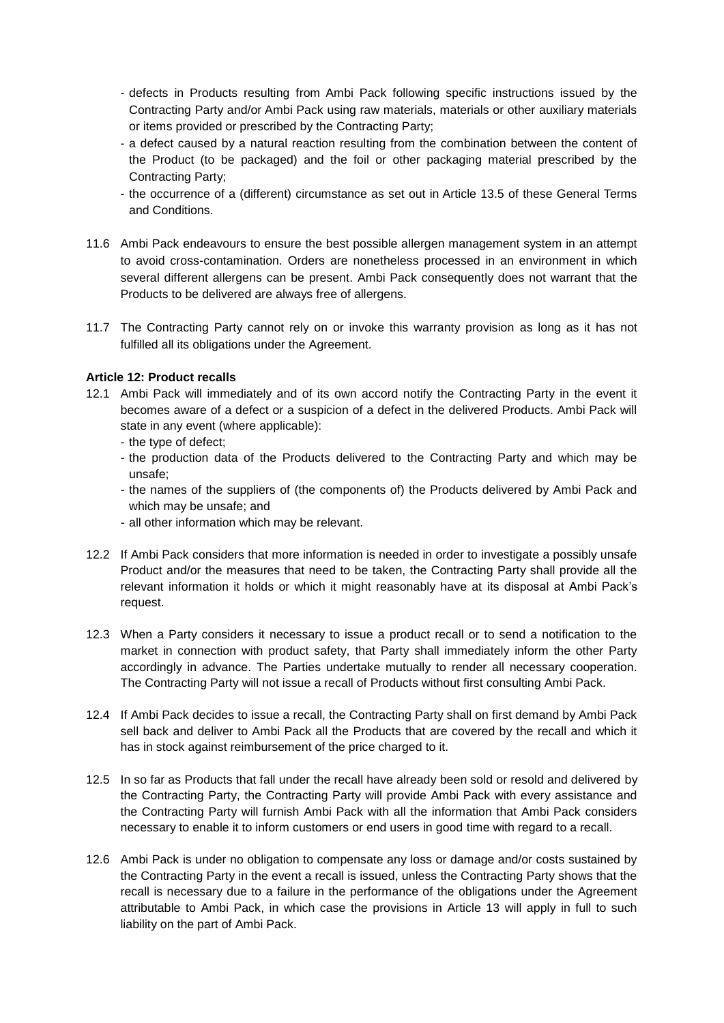- defects in Products resulting from Ambi Pack following specific instructions issued by the Contracting Party and/or Ambi Pack using raw materials, materials or other auxiliary materials or items provided or prescribed by the Contracting Party;
- a defect caused by a natural reaction resulting from the combination between the content of the Product (to be packaged) and the foil or other packaging material prescribed by the Contracting Party;
- the occurrence of a (different) circumstance as set out in Article 13.5 of these General Terms and Conditions.
- 11.6 Ambi Pack endeavours to ensure the best possible allergen management system in an attempt to avoid cross-contamination. Orders are nonetheless processed in an environment in which several different allergens can be present. Ambi Pack consequently does not warrant that the Products to be delivered are always free of allergens.
- 11.7 The Contracting Party cannot rely on or invoke this warranty provision as long as it has not fulfilled all its obligations under the Agreement.

# **Article 12: Product recalls**

- 12.1 Ambi Pack will immediately and of its own accord notify the Contracting Party in the event it becomes aware of a defect or a suspicion of a defect in the delivered Products. Ambi Pack will state in any event (where applicable):
	- the type of defect;
	- the production data of the Products delivered to the Contracting Party and which may be unsafe;
	- the names of the suppliers of (the components of) the Products delivered by Ambi Pack and which may be unsafe; and
	- all other information which may be relevant.
- 12.2 If Ambi Pack considers that more information is needed in order to investigate a possibly unsafe Product and/or the measures that need to be taken, the Contracting Party shall provide all the relevant information it holds or which it might reasonably have at its disposal at Ambi Pack's request.
- 12.3 When a Party considers it necessary to issue a product recall or to send a notification to the market in connection with product safety, that Party shall immediately inform the other Party accordingly in advance. The Parties undertake mutually to render all necessary cooperation. The Contracting Party will not issue a recall of Products without first consulting Ambi Pack.
- 12.4 If Ambi Pack decides to issue a recall, the Contracting Party shall on first demand by Ambi Pack sell back and deliver to Ambi Pack all the Products that are covered by the recall and which it has in stock against reimbursement of the price charged to it.
- 12.5 In so far as Products that fall under the recall have already been sold or resold and delivered by the Contracting Party, the Contracting Party will provide Ambi Pack with every assistance and the Contracting Party will furnish Ambi Pack with all the information that Ambi Pack considers necessary to enable it to inform customers or end users in good time with regard to a recall.
- 12.6 Ambi Pack is under no obligation to compensate any loss or damage and/or costs sustained by the Contracting Party in the event a recall is issued, unless the Contracting Party shows that the recall is necessary due to a failure in the performance of the obligations under the Agreement attributable to Ambi Pack, in which case the provisions in Article 13 will apply in full to such liability on the part of Ambi Pack.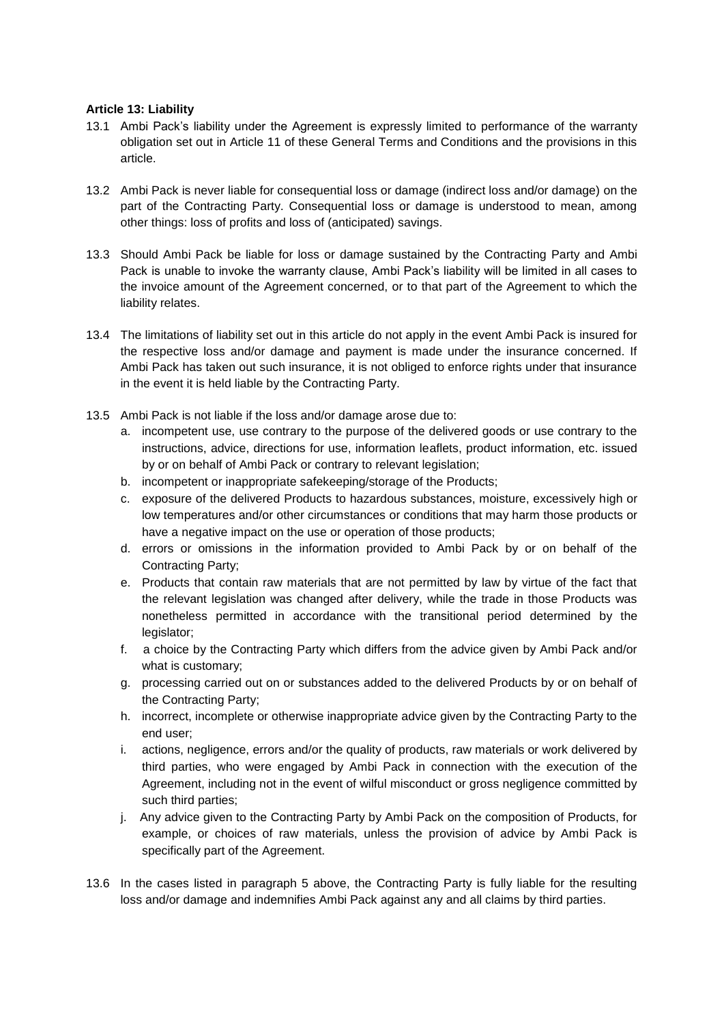## **Article 13: Liability**

- 13.1 Ambi Pack's liability under the Agreement is expressly limited to performance of the warranty obligation set out in Article 11 of these General Terms and Conditions and the provisions in this article.
- 13.2 Ambi Pack is never liable for consequential loss or damage (indirect loss and/or damage) on the part of the Contracting Party. Consequential loss or damage is understood to mean, among other things: loss of profits and loss of (anticipated) savings.
- 13.3 Should Ambi Pack be liable for loss or damage sustained by the Contracting Party and Ambi Pack is unable to invoke the warranty clause, Ambi Pack's liability will be limited in all cases to the invoice amount of the Agreement concerned, or to that part of the Agreement to which the liability relates.
- 13.4 The limitations of liability set out in this article do not apply in the event Ambi Pack is insured for the respective loss and/or damage and payment is made under the insurance concerned. If Ambi Pack has taken out such insurance, it is not obliged to enforce rights under that insurance in the event it is held liable by the Contracting Party.
- 13.5 Ambi Pack is not liable if the loss and/or damage arose due to:
	- a. incompetent use, use contrary to the purpose of the delivered goods or use contrary to the instructions, advice, directions for use, information leaflets, product information, etc. issued by or on behalf of Ambi Pack or contrary to relevant legislation;
	- b. incompetent or inappropriate safekeeping/storage of the Products;
	- c. exposure of the delivered Products to hazardous substances, moisture, excessively high or low temperatures and/or other circumstances or conditions that may harm those products or have a negative impact on the use or operation of those products;
	- d. errors or omissions in the information provided to Ambi Pack by or on behalf of the Contracting Party;
	- e. Products that contain raw materials that are not permitted by law by virtue of the fact that the relevant legislation was changed after delivery, while the trade in those Products was nonetheless permitted in accordance with the transitional period determined by the legislator;
	- f. a choice by the Contracting Party which differs from the advice given by Ambi Pack and/or what is customary;
	- g. processing carried out on or substances added to the delivered Products by or on behalf of the Contracting Party;
	- h. incorrect, incomplete or otherwise inappropriate advice given by the Contracting Party to the end user;
	- i. actions, negligence, errors and/or the quality of products, raw materials or work delivered by third parties, who were engaged by Ambi Pack in connection with the execution of the Agreement, including not in the event of wilful misconduct or gross negligence committed by such third parties;
	- j. Any advice given to the Contracting Party by Ambi Pack on the composition of Products, for example, or choices of raw materials, unless the provision of advice by Ambi Pack is specifically part of the Agreement.
- 13.6 In the cases listed in paragraph 5 above, the Contracting Party is fully liable for the resulting loss and/or damage and indemnifies Ambi Pack against any and all claims by third parties.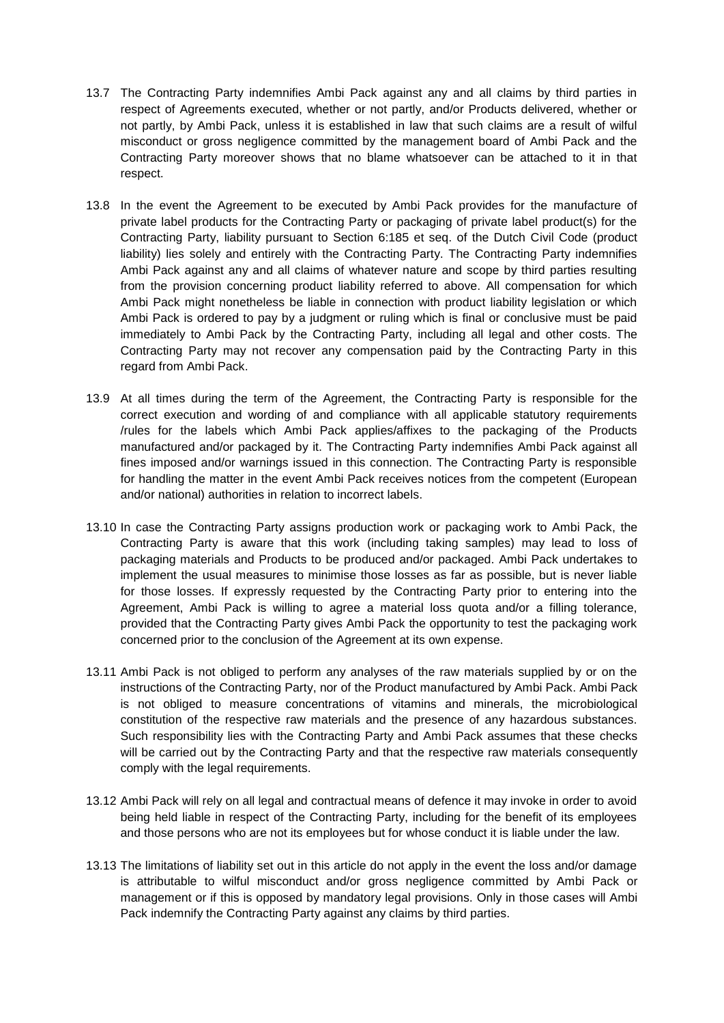- 13.7 The Contracting Party indemnifies Ambi Pack against any and all claims by third parties in respect of Agreements executed, whether or not partly, and/or Products delivered, whether or not partly, by Ambi Pack, unless it is established in law that such claims are a result of wilful misconduct or gross negligence committed by the management board of Ambi Pack and the Contracting Party moreover shows that no blame whatsoever can be attached to it in that respect.
- 13.8 In the event the Agreement to be executed by Ambi Pack provides for the manufacture of private label products for the Contracting Party or packaging of private label product(s) for the Contracting Party, liability pursuant to Section 6:185 et seq. of the Dutch Civil Code (product liability) lies solely and entirely with the Contracting Party. The Contracting Party indemnifies Ambi Pack against any and all claims of whatever nature and scope by third parties resulting from the provision concerning product liability referred to above. All compensation for which Ambi Pack might nonetheless be liable in connection with product liability legislation or which Ambi Pack is ordered to pay by a judgment or ruling which is final or conclusive must be paid immediately to Ambi Pack by the Contracting Party, including all legal and other costs. The Contracting Party may not recover any compensation paid by the Contracting Party in this regard from Ambi Pack.
- 13.9 At all times during the term of the Agreement, the Contracting Party is responsible for the correct execution and wording of and compliance with all applicable statutory requirements /rules for the labels which Ambi Pack applies/affixes to the packaging of the Products manufactured and/or packaged by it. The Contracting Party indemnifies Ambi Pack against all fines imposed and/or warnings issued in this connection. The Contracting Party is responsible for handling the matter in the event Ambi Pack receives notices from the competent (European and/or national) authorities in relation to incorrect labels.
- 13.10 In case the Contracting Party assigns production work or packaging work to Ambi Pack, the Contracting Party is aware that this work (including taking samples) may lead to loss of packaging materials and Products to be produced and/or packaged. Ambi Pack undertakes to implement the usual measures to minimise those losses as far as possible, but is never liable for those losses. If expressly requested by the Contracting Party prior to entering into the Agreement, Ambi Pack is willing to agree a material loss quota and/or a filling tolerance, provided that the Contracting Party gives Ambi Pack the opportunity to test the packaging work concerned prior to the conclusion of the Agreement at its own expense.
- 13.11 Ambi Pack is not obliged to perform any analyses of the raw materials supplied by or on the instructions of the Contracting Party, nor of the Product manufactured by Ambi Pack. Ambi Pack is not obliged to measure concentrations of vitamins and minerals, the microbiological constitution of the respective raw materials and the presence of any hazardous substances. Such responsibility lies with the Contracting Party and Ambi Pack assumes that these checks will be carried out by the Contracting Party and that the respective raw materials consequently comply with the legal requirements.
- 13.12 Ambi Pack will rely on all legal and contractual means of defence it may invoke in order to avoid being held liable in respect of the Contracting Party, including for the benefit of its employees and those persons who are not its employees but for whose conduct it is liable under the law.
- 13.13 The limitations of liability set out in this article do not apply in the event the loss and/or damage is attributable to wilful misconduct and/or gross negligence committed by Ambi Pack or management or if this is opposed by mandatory legal provisions. Only in those cases will Ambi Pack indemnify the Contracting Party against any claims by third parties.